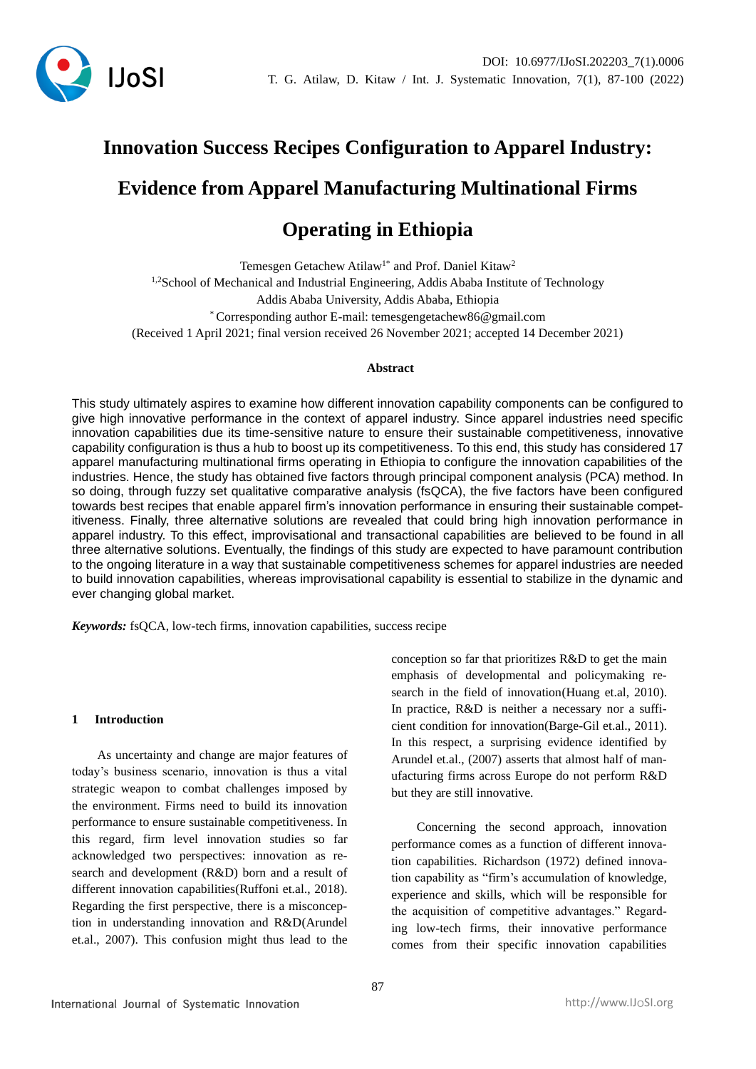

# **Innovation Success Recipes Configuration to Apparel Industry: Evidence from Apparel Manufacturing Multinational Firms**

# **Operating in Ethiopia**

Temesgen Getachew Atilaw<sup>1\*</sup> and Prof. Daniel Kitaw<sup>2</sup> <sup>1,2</sup>School of Mechanical and Industrial Engineering, Addis Ababa Institute of Technology Addis Ababa University, Addis Ababa, Ethiopia \* Corresponding author E-mail: temesgengetachew86@gmail.com (Received 1 April 2021; final version received 26 November 2021; accepted 14 December 2021)

# **Abstract**

This study ultimately aspires to examine how different innovation capability components can be configured to give high innovative performance in the context of apparel industry. Since apparel industries need specific innovation capabilities due its time-sensitive nature to ensure their sustainable competitiveness, innovative capability configuration is thus a hub to boost up its competitiveness. To this end, this study has considered 17 apparel manufacturing multinational firms operating in Ethiopia to configure the innovation capabilities of the industries. Hence, the study has obtained five factors through principal component analysis (PCA) method. In so doing, through fuzzy set qualitative comparative analysis (fsQCA), the five factors have been configured towards best recipes that enable apparel firm's innovation performance in ensuring their sustainable competitiveness. Finally, three alternative solutions are revealed that could bring high innovation performance in apparel industry. To this effect, improvisational and transactional capabilities are believed to be found in all three alternative solutions. Eventually, the findings of this study are expected to have paramount contribution to the ongoing literature in a way that sustainable competitiveness schemes for apparel industries are needed to build innovation capabilities, whereas improvisational capability is essential to stabilize in the dynamic and ever changing global market.

*Keywords:* fsQCA, low-tech firms, innovation capabilities, success recipe

# **1 Introduction**

As uncertainty and change are major features of today's business scenario, innovation is thus a vital strategic weapon to combat challenges imposed by the environment. Firms need to build its innovation performance to ensure sustainable competitiveness. In this regard, firm level innovation studies so far acknowledged two perspectives: innovation as research and development (R&D) born and a result of different innovation capabilities(Ruffoni et.al., 2018). Regarding the first perspective, there is a misconception in understanding innovation and R&D(Arundel et.al., 2007). This confusion might thus lead to the

conception so far that prioritizes R&D to get the main emphasis of developmental and policymaking research in the field of innovation(Huang et.al, 2010). In practice, R&D is neither a necessary nor a sufficient condition for innovation(Barge-Gil et.al., 2011). In this respect, a surprising evidence identified by Arundel et.al., (2007) asserts that almost half of manufacturing firms across Europe do not perform R&D but they are still innovative.

Concerning the second approach, innovation performance comes as a function of different innovation capabilities. Richardson (1972) defined innovation capability as "firm's accumulation of knowledge, experience and skills, which will be responsible for the acquisition of competitive advantages." Regarding low-tech firms, their innovative performance comes from their specific innovation capabilities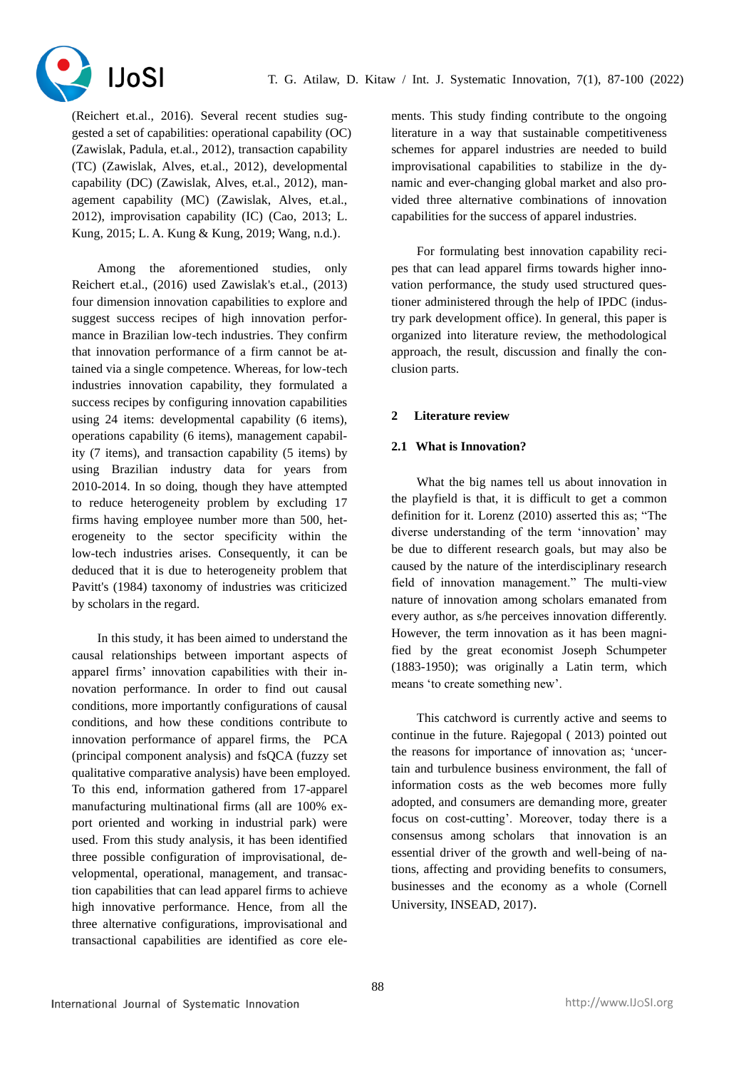

(Reichert et.al., 2016). Several recent studies suggested a set of capabilities: operational capability (OC) (Zawislak, Padula, et.al., 2012), transaction capability (TC) (Zawislak, Alves, et.al., 2012), developmental capability (DC) (Zawislak, Alves, et.al., 2012), management capability (MC) (Zawislak, Alves, et.al., 2012), improvisation capability (IC) (Cao, 2013; L. Kung, 2015; L. A. Kung & Kung, 2019; Wang, n.d.).

Among the aforementioned studies, only Reichert et.al., (2016) used Zawislak's et.al., (2013) four dimension innovation capabilities to explore and suggest success recipes of high innovation performance in Brazilian low-tech industries. They confirm that innovation performance of a firm cannot be attained via a single competence. Whereas, for low-tech industries innovation capability, they formulated a success recipes by configuring innovation capabilities using 24 items: developmental capability (6 items), operations capability (6 items), management capability (7 items), and transaction capability (5 items) by using Brazilian industry data for years from 2010-2014. In so doing, though they have attempted to reduce heterogeneity problem by excluding 17 firms having employee number more than 500, heterogeneity to the sector specificity within the low-tech industries arises. Consequently, it can be deduced that it is due to heterogeneity problem that Pavitt's (1984) taxonomy of industries was criticized by scholars in the regard.

In this study, it has been aimed to understand the causal relationships between important aspects of apparel firms' innovation capabilities with their innovation performance. In order to find out causal conditions, more importantly configurations of causal conditions, and how these conditions contribute to innovation performance of apparel firms, the PCA (principal component analysis) and fsQCA (fuzzy set qualitative comparative analysis) have been employed. To this end, information gathered from 17-apparel manufacturing multinational firms (all are 100% export oriented and working in industrial park) were used. From this study analysis, it has been identified three possible configuration of improvisational, developmental, operational, management, and transaction capabilities that can lead apparel firms to achieve high innovative performance. Hence, from all the three alternative configurations, improvisational and transactional capabilities are identified as core elements. This study finding contribute to the ongoing literature in a way that sustainable competitiveness schemes for apparel industries are needed to build improvisational capabilities to stabilize in the dynamic and ever-changing global market and also provided three alternative combinations of innovation capabilities for the success of apparel industries.

For formulating best innovation capability recipes that can lead apparel firms towards higher innovation performance, the study used structured questioner administered through the help of IPDC (industry park development office). In general, this paper is organized into literature review, the methodological approach, the result, discussion and finally the conclusion parts.

# **2 Literature review**

# **2.1 What is Innovation?**

What the big names tell us about innovation in the playfield is that, it is difficult to get a common definition for it. Lorenz (2010) asserted this as; "The diverse understanding of the term 'innovation' may be due to different research goals, but may also be caused by the nature of the interdisciplinary research field of innovation management." The multi-view nature of innovation among scholars emanated from every author, as s/he perceives innovation differently. However, the term innovation as it has been magnified by the great economist Joseph Schumpeter (1883-1950); was originally a Latin term, which means 'to create something new'.

This catchword is currently active and seems to continue in the future. Rajegopal ( 2013) pointed out the reasons for importance of innovation as; 'uncertain and turbulence business environment, the fall of information costs as the web becomes more fully adopted, and consumers are demanding more, greater focus on cost-cutting'. Moreover, today there is a consensus among scholars that innovation is an essential driver of the growth and well-being of nations, affecting and providing benefits to consumers, businesses and the economy as a whole (Cornell University, INSEAD, 2017).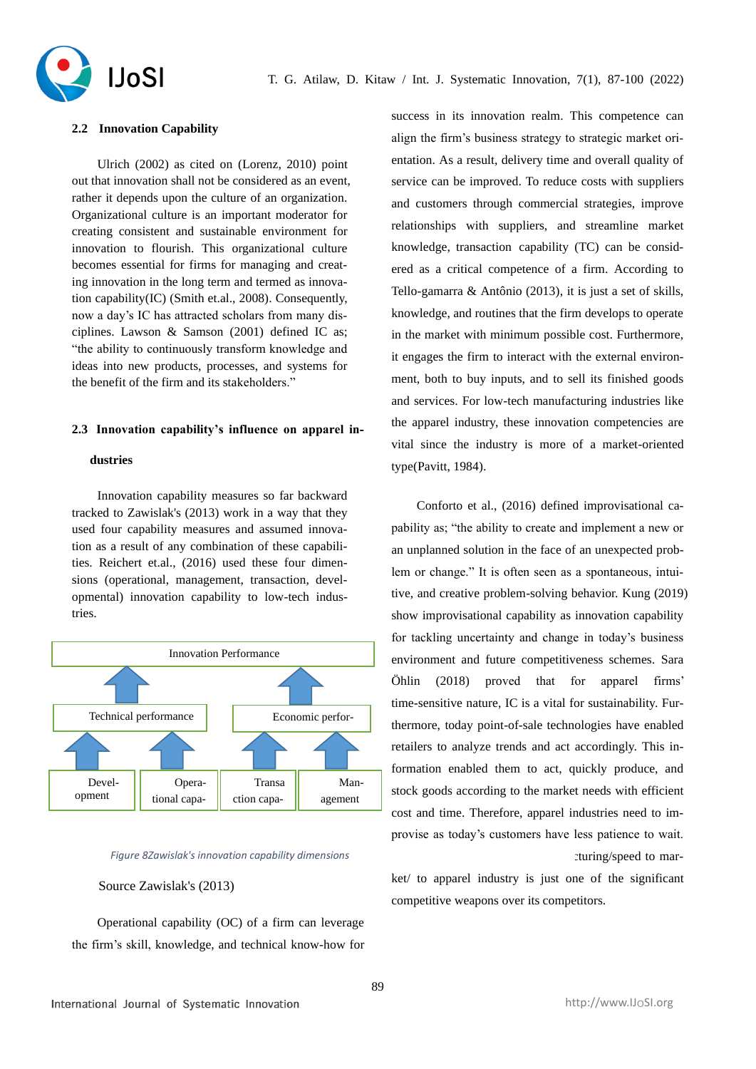

#### **2.2 Innovation Capability**

Ulrich (2002) as cited on (Lorenz, 2010) point out that innovation shall not be considered as an event, rather it depends upon the culture of an organization. Organizational culture is an important moderator for creating consistent and sustainable environment for innovation to flourish. This organizational culture becomes essential for firms for managing and creating innovation in the long term and termed as innovation capability(IC) (Smith et.al., 2008). Consequently, now a day's IC has attracted scholars from many disciplines. Lawson & Samson (2001) defined IC as; "the ability to continuously transform knowledge and ideas into new products, processes, and systems for the benefit of the firm and its stakeholders."

#### **2.3 Innovation capability's influence on apparel in-**

#### **dustries**

Innovation capability measures so far backward tracked to Zawislak's (2013) work in a way that they used four capability measures and assumed innovation as a result of any combination of these capabilities. Reichert et.al., (2016) used these four dimensions (operational, management, transaction, developmental) innovation capability to low-tech industries.



#### *Figure 8Zawislak's innovation capability dimensions*

#### Source Zawislak's (2013)

Operational capability (OC) of a firm can leverage the firm's skill, knowledge, and technical know-how for success in its innovation realm. This competence can align the firm's business strategy to strategic market orientation. As a result, delivery time and overall quality of service can be improved. To reduce costs with suppliers and customers through commercial strategies, improve relationships with suppliers, and streamline market knowledge, transaction capability (TC) can be considered as a critical competence of a firm. According to Tello-gamarra & Antônio (2013), it is just a set of skills, knowledge, and routines that the firm develops to operate in the market with minimum possible cost. Furthermore, it engages the firm to interact with the external environment, both to buy inputs, and to sell its finished goods and services. For low-tech manufacturing industries like the apparel industry, these innovation competencies are vital since the industry is more of a market-oriented type(Pavitt, 1984).

Conforto et al., (2016) defined improvisational capability as; "the ability to create and implement a new or an unplanned solution in the face of an unexpected problem or change." It is often seen as a spontaneous, intuitive, and creative problem-solving behavior. Kung (2019) show improvisational capability as innovation capability for tackling uncertainty and change in today's business environment and future competitiveness schemes. Sara Öhlin (2018) proved that for apparel firms' time-sensitive nature, IC is a vital for sustainability. Furthermore, today point-of-sale technologies have enabled retailers to analyze trends and act accordingly. This information enabled them to act, quickly produce, and stock goods according to the market needs with efficient cost and time. Therefore, apparel industries need to improvise as today's customers have less patience to wait. turing/speed to mar-

ket/ to apparel industry is just one of the significant competitive weapons over its competitors.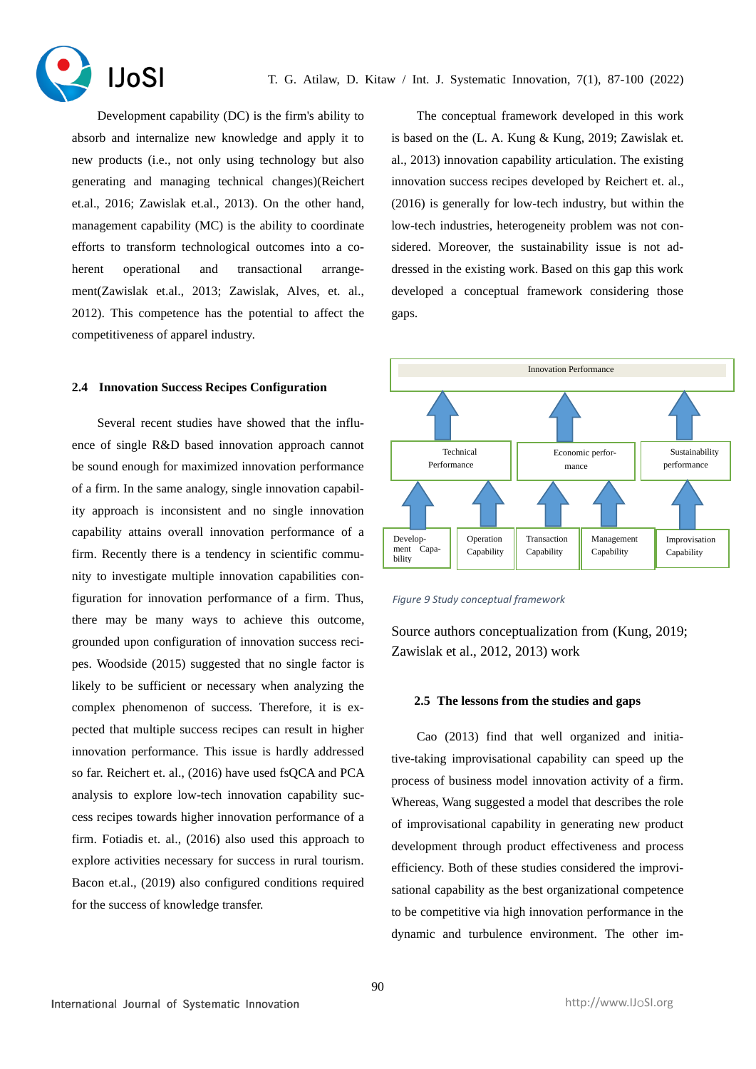

Development capability (DC) is the firm's ability to absorb and internalize new knowledge and apply it to new products (i.e., not only using technology but also generating and managing technical changes)(Reichert et.al., 2016; Zawislak et.al., 2013). On the other hand, management capability (MC) is the ability to coordinate efforts to transform technological outcomes into a coherent operational and transactional arrangement(Zawislak et.al., 2013; Zawislak, Alves, et. al., 2012). This competence has the potential to affect the competitiveness of apparel industry.

#### **2.4 Innovation Success Recipes Configuration**

Several recent studies have showed that the influence of single R&D based innovation approach cannot be sound enough for maximized innovation performance of a firm. In the same analogy, single innovation capability approach is inconsistent and no single innovation capability attains overall innovation performance of a firm. Recently there is a tendency in scientific community to investigate multiple innovation capabilities configuration for innovation performance of a firm. Thus, there may be many ways to achieve this outcome, grounded upon configuration of innovation success recipes. Woodside (2015) suggested that no single factor is likely to be sufficient or necessary when analyzing the complex phenomenon of success. Therefore, it is expected that multiple success recipes can result in higher innovation performance. This issue is hardly addressed so far. Reichert et. al., (2016) have used fsQCA and PCA analysis to explore low-tech innovation capability success recipes towards higher innovation performance of a firm. Fotiadis et. al., (2016) also used this approach to explore activities necessary for success in rural tourism. Bacon et.al., (2019) also configured conditions required for the success of knowledge transfer.

The conceptual framework developed in this work is based on the (L. A. Kung & Kung, 2019; Zawislak et. al., 2013) innovation capability articulation. The existing innovation success recipes developed by Reichert et. al., (2016) is generally for low-tech industry, but within the low-tech industries, heterogeneity problem was not considered. Moreover, the sustainability issue is not addressed in the existing work. Based on this gap this work developed a conceptual framework considering those gaps.



*Figure 9 Study conceptual framework*

Source authors conceptualization from (Kung, 2019; Zawislak et al., 2012, 2013) work

#### **2.5 The lessons from the studies and gaps**

Cao (2013) find that well organized and initiative-taking improvisational capability can speed up the process of business model innovation activity of a firm. Whereas, Wang suggested a model that describes the role of improvisational capability in generating new product development through product effectiveness and process efficiency. Both of these studies considered the improvisational capability as the best organizational competence to be competitive via high innovation performance in the dynamic and turbulence environment. The other im-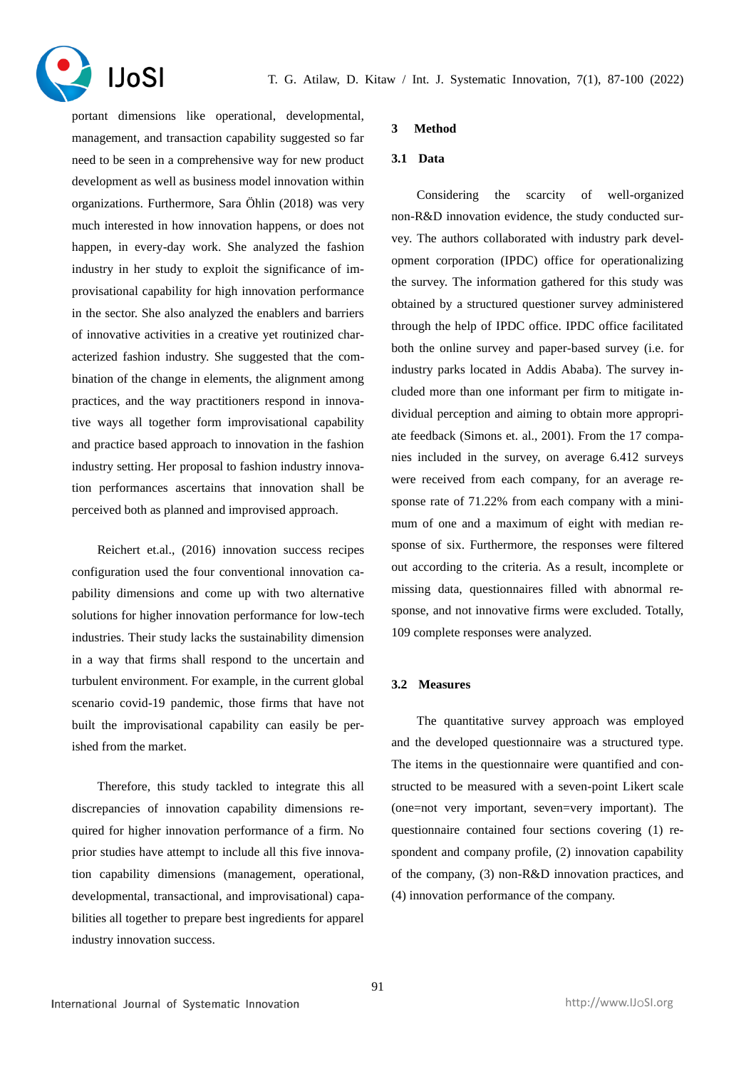

portant dimensions like operational, developmental, management, and transaction capability suggested so far need to be seen in a comprehensive way for new product development as well as business model innovation within organizations. Furthermore, Sara Öhlin (2018) was very much interested in how innovation happens, or does not happen, in every-day work. She analyzed the fashion industry in her study to exploit the significance of improvisational capability for high innovation performance in the sector. She also analyzed the enablers and barriers of innovative activities in a creative yet routinized characterized fashion industry. She suggested that the combination of the change in elements, the alignment among practices, and the way practitioners respond in innovative ways all together form improvisational capability and practice based approach to innovation in the fashion industry setting. Her proposal to fashion industry innovation performances ascertains that innovation shall be perceived both as planned and improvised approach.

Reichert et.al., (2016) innovation success recipes configuration used the four conventional innovation capability dimensions and come up with two alternative solutions for higher innovation performance for low-tech industries. Their study lacks the sustainability dimension in a way that firms shall respond to the uncertain and turbulent environment. For example, in the current global scenario covid-19 pandemic, those firms that have not built the improvisational capability can easily be perished from the market.

Therefore, this study tackled to integrate this all discrepancies of innovation capability dimensions required for higher innovation performance of a firm. No prior studies have attempt to include all this five innovation capability dimensions (management, operational, developmental, transactional, and improvisational) capabilities all together to prepare best ingredients for apparel industry innovation success.

#### **3 Method**

# **3.1 Data**

Considering the scarcity of well-organized non-R&D innovation evidence, the study conducted survey. The authors collaborated with industry park development corporation (IPDC) office for operationalizing the survey. The information gathered for this study was obtained by a structured questioner survey administered through the help of IPDC office. IPDC office facilitated both the online survey and paper-based survey (i.e. for industry parks located in Addis Ababa). The survey included more than one informant per firm to mitigate individual perception and aiming to obtain more appropriate feedback (Simons et. al., 2001). From the 17 companies included in the survey, on average 6.412 surveys were received from each company, for an average response rate of 71.22% from each company with a minimum of one and a maximum of eight with median response of six. Furthermore, the responses were filtered out according to the criteria. As a result, incomplete or missing data, questionnaires filled with abnormal response, and not innovative firms were excluded. Totally, 109 complete responses were analyzed.

#### **3.2 Measures**

The quantitative survey approach was employed and the developed questionnaire was a structured type. The items in the questionnaire were quantified and constructed to be measured with a seven-point Likert scale (one=not very important, seven=very important). The questionnaire contained four sections covering (1) respondent and company profile, (2) innovation capability of the company, (3) non-R&D innovation practices, and (4) innovation performance of the company.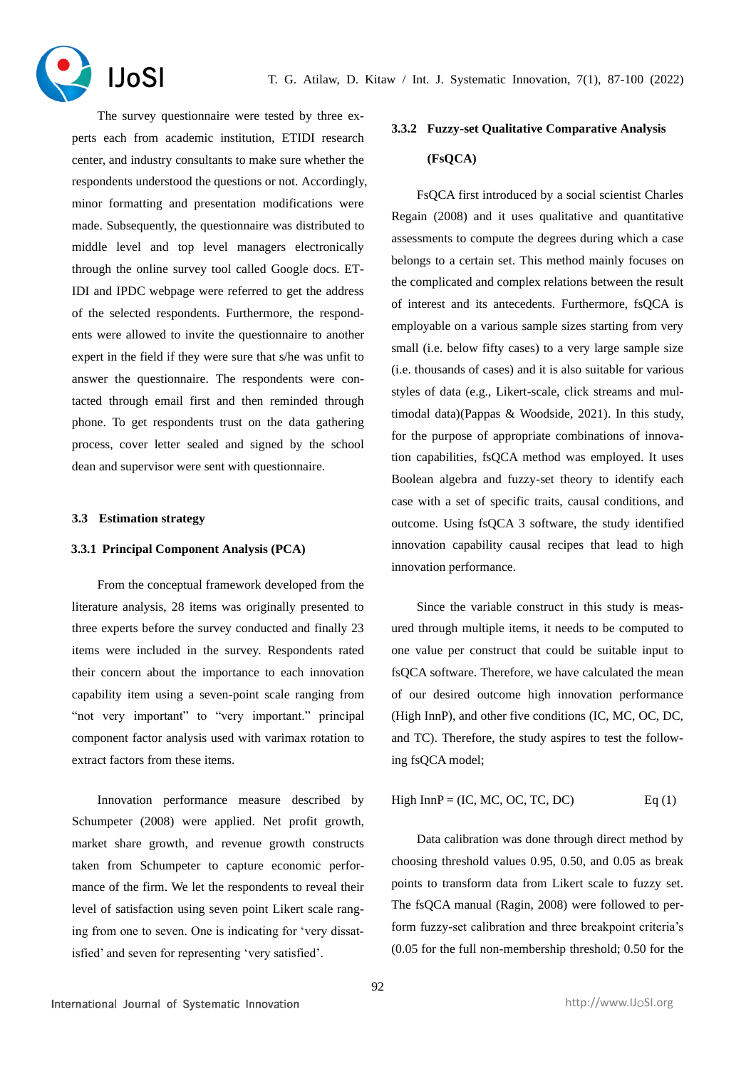

The survey questionnaire were tested by three experts each from academic institution, ETIDI research center, and industry consultants to make sure whether the respondents understood the questions or not. Accordingly, minor formatting and presentation modifications were made. Subsequently, the questionnaire was distributed to middle level and top level managers electronically through the online survey tool called Google docs. ET-IDI and IPDC webpage were referred to get the address of the selected respondents. Furthermore, the respondents were allowed to invite the questionnaire to another expert in the field if they were sure that s/he was unfit to answer the questionnaire. The respondents were contacted through email first and then reminded through phone. To get respondents trust on the data gathering process, cover letter sealed and signed by the school dean and supervisor were sent with questionnaire.

#### **3.3 Estimation strategy**

# **3.3.1 Principal Component Analysis (PCA)**

From the conceptual framework developed from the literature analysis, 28 items was originally presented to three experts before the survey conducted and finally 23 items were included in the survey. Respondents rated their concern about the importance to each innovation capability item using a seven-point scale ranging from "not very important" to "very important." principal component factor analysis used with varimax rotation to extract factors from these items.

Innovation performance measure described by Schumpeter (2008) were applied. Net profit growth, market share growth, and revenue growth constructs taken from Schumpeter to capture economic performance of the firm. We let the respondents to reveal their level of satisfaction using seven point Likert scale ranging from one to seven. One is indicating for 'very dissatisfied' and seven for representing 'very satisfied'.

# **3.3.2 Fuzzy-set Qualitative Comparative Analysis (FsQCA)**

FsQCA first introduced by a social scientist Charles Regain (2008) and it uses qualitative and quantitative assessments to compute the degrees during which a case belongs to a certain set. This method mainly focuses on the complicated and complex relations between the result of interest and its antecedents. Furthermore, fsQCA is employable on a various sample sizes starting from very small (i.e. below fifty cases) to a very large sample size (i.e. thousands of cases) and it is also suitable for various styles of data (e.g., Likert-scale, click streams and multimodal data)(Pappas & Woodside, 2021). In this study, for the purpose of appropriate combinations of innovation capabilities, fsQCA method was employed. It uses Boolean algebra and fuzzy-set theory to identify each case with a set of specific traits, causal conditions, and outcome. Using fsQCA 3 software, the study identified innovation capability causal recipes that lead to high innovation performance.

Since the variable construct in this study is measured through multiple items, it needs to be computed to one value per construct that could be suitable input to fsQCA software. Therefore, we have calculated the mean of our desired outcome high innovation performance (High InnP), and other five conditions (IC, MC, OC, DC, and TC). Therefore, the study aspires to test the following fsQCA model;

High InnP = (IC, MC, OC, TC, DC) 
$$
Eq(1)
$$

Data calibration was done through direct method by choosing threshold values 0.95, 0.50, and 0.05 as break points to transform data from Likert scale to fuzzy set. The fsQCA manual (Ragin, 2008) were followed to perform fuzzy-set calibration and three breakpoint criteria's (0.05 for the full non-membership threshold; 0.50 for the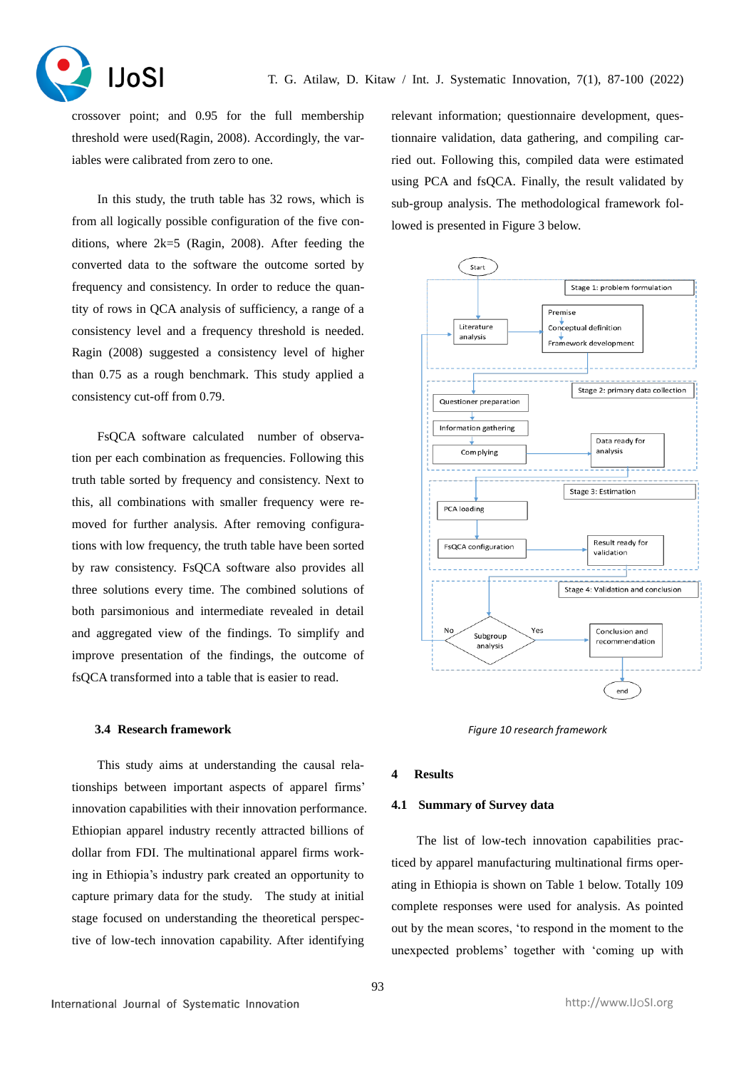

crossover point; and 0.95 for the full membership threshold were used(Ragin, 2008). Accordingly, the variables were calibrated from zero to one.

In this study, the truth table has 32 rows, which is from all logically possible configuration of the five conditions, where 2k=5 (Ragin, 2008). After feeding the converted data to the software the outcome sorted by frequency and consistency. In order to reduce the quantity of rows in QCA analysis of sufficiency, a range of a consistency level and a frequency threshold is needed. Ragin (2008) suggested a consistency level of higher than 0.75 as a rough benchmark. This study applied a consistency cut-off from 0.79.

FsQCA software calculated number of observation per each combination as frequencies. Following this truth table sorted by frequency and consistency. Next to this, all combinations with smaller frequency were removed for further analysis. After removing configurations with low frequency, the truth table have been sorted by raw consistency. FsQCA software also provides all three solutions every time. The combined solutions of both parsimonious and intermediate revealed in detail and aggregated view of the findings. To simplify and improve presentation of the findings, the outcome of fsQCA transformed into a table that is easier to read.

#### **3.4 Research framework**

This study aims at understanding the causal relationships between important aspects of apparel firms' innovation capabilities with their innovation performance. Ethiopian apparel industry recently attracted billions of dollar from FDI. The multinational apparel firms working in Ethiopia's industry park created an opportunity to capture primary data for the study. The study at initial stage focused on understanding the theoretical perspective of low-tech innovation capability. After identifying

relevant information; questionnaire development, questionnaire validation, data gathering, and compiling carried out. Following this, compiled data were estimated using PCA and fsQCA. Finally, the result validated by sub-group analysis. The methodological framework followed is presented in Figure 3 below.



*Figure 10 research framework*

#### **4 Results**

#### **4.1 Summary of Survey data**

The list of low-tech innovation capabilities practiced by apparel manufacturing multinational firms operating in Ethiopia is shown on Table 1 below. Totally 109 complete responses were used for analysis. As pointed out by the mean scores, 'to respond in the moment to the unexpected problems' together with 'coming up with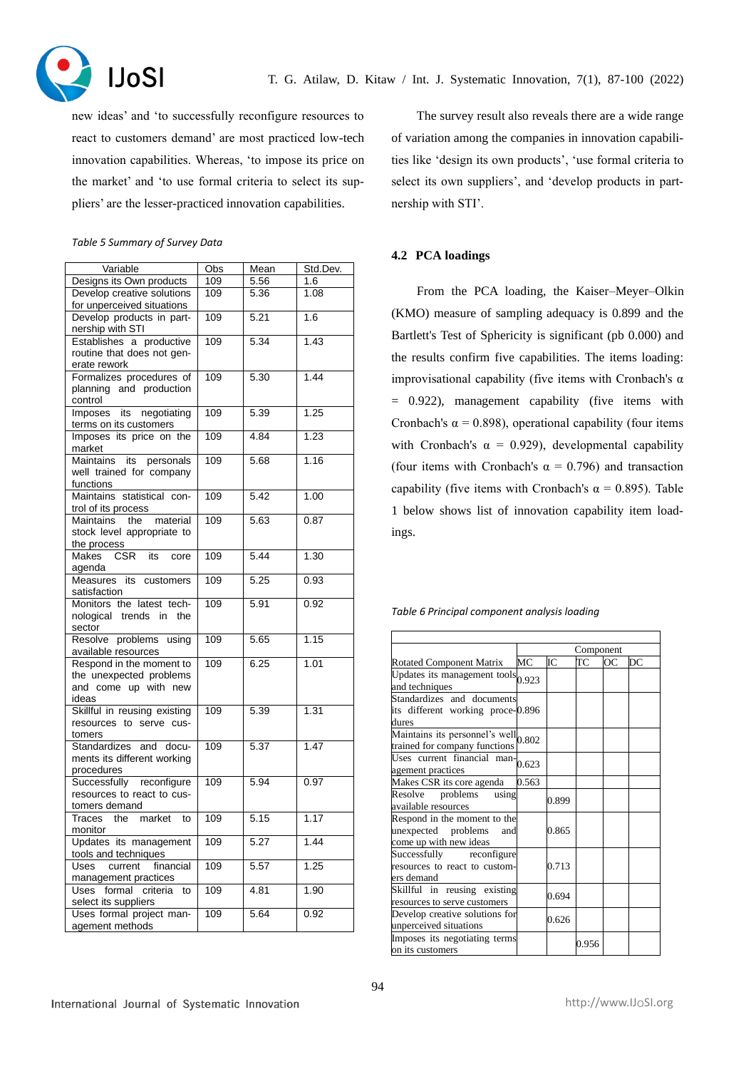

new ideas' and 'to successfully reconfigure resources to react to customers demand' are most practiced low-tech innovation capabilities. Whereas, 'to impose its price on the market' and 'to use formal criteria to select its suppliers' are the lesser-practiced innovation capabilities.

#### *Table 5 Summary of Survey Data*

| Variable                                  | $\overline{Obs}$ | Mean | Std.Dev. |
|-------------------------------------------|------------------|------|----------|
| Designs its Own products                  | 109              | 5.56 | 1.6      |
| Develop creative solutions                | 109              | 5.36 | 1.08     |
| for unperceived situations                |                  |      |          |
| Develop products in part-                 | 109              | 5.21 | 1.6      |
| nership with STI                          |                  |      |          |
| Establishes a productive                  | 109              | 5.34 | 1.43     |
| routine that does not gen-                |                  |      |          |
| erate rework                              |                  |      |          |
| Formalizes procedures of                  | 109              | 5.30 | 1.44     |
| planning and production                   |                  |      |          |
| control                                   |                  |      |          |
| negotiating<br>Imposes its                | 109              | 5.39 | 1.25     |
| terms on its customers                    |                  |      |          |
| Imposes its price on the                  | 109              | 4.84 | 1.23     |
| market                                    |                  |      |          |
| personals<br>Maintains<br>its             | 109              | 5.68 | 1.16     |
| well trained for company                  |                  |      |          |
| functions                                 |                  |      |          |
| Maintains statistical con-                | 109              | 5.42 | 1.00     |
| trol of its process                       |                  |      |          |
| the<br>material<br>Maintains              | 109              | 5.63 | 0.87     |
| stock level appropriate to                |                  |      |          |
| the process                               |                  |      |          |
| <b>Makes</b><br><b>CSR</b><br>its<br>core | 109              | 5.44 | 1.30     |
| agenda                                    |                  |      |          |
| Measures its customers                    | 109              | 5.25 | 0.93     |
| satisfaction                              |                  |      |          |
| Monitors the latest tech-                 | 109              | 5.91 | 0.92     |
| nological trends in the                   |                  |      |          |
| sector                                    |                  |      |          |
| Resolve problems using                    | 109              | 5.65 | 1.15     |
| available resources                       |                  |      |          |
| Respond in the moment to                  | 109              | 6.25 | 1.01     |
| the unexpected problems                   |                  |      |          |
| and come up with new                      |                  |      |          |
| ideas                                     |                  |      | 1.31     |
| Skillful in reusing existing              | 109              | 5.39 |          |
| resources to serve cus-<br>tomers         |                  |      |          |
| Standardizes<br>and<br>docu-              | 109              | 5.37 | 1.47     |
| ments its different working               |                  |      |          |
| procedures                                |                  |      |          |
| Successfully reconfigure                  | 109              | 5.94 | 0.97     |
| resources to react to cus-                |                  |      |          |
| tomers demand                             |                  |      |          |
| Traces the market<br>to                   | 109              | 5.15 | 1.17     |
| monitor                                   |                  |      |          |
| Updates its management                    | 109              | 5.27 | 1.44     |
| tools and techniques                      |                  |      |          |
| Uses<br>current<br>financial              | 109              | 5.57 | 1.25     |
| management practices                      |                  |      |          |
| formal criteria<br>Uses<br>to             | 109              | 4.81 | 1.90     |
| select its suppliers                      |                  |      |          |
| Uses formal project man-                  | 109              | 5.64 | 0.92     |
| agement methods                           |                  |      |          |

The survey result also reveals there are a wide range of variation among the companies in innovation capabilities like 'design its own products', 'use formal criteria to select its own suppliers', and 'develop products in partnership with STI'.

# **4.2 PCA loadings**

From the PCA loading, the Kaiser–Meyer–Olkin (KMO) measure of sampling adequacy is 0.899 and the Bartlett's Test of Sphericity is significant (pb 0.000) and the results confirm five capabilities. The items loading: improvisational capability (five items with Cronbach's α = 0.922), management capability (five items with Cronbach's  $\alpha = 0.898$ ), operational capability (four items with Cronbach's  $\alpha = 0.929$ , developmental capability (four items with Cronbach's  $\alpha = 0.796$ ) and transaction capability (five items with Cronbach's  $\alpha = 0.895$ ). Table 1 below shows list of innovation capability item loadings.

*Table 6 Principal component analysis loading*

|                                                                                      | Component |       |       |     |    |
|--------------------------------------------------------------------------------------|-----------|-------|-------|-----|----|
| <b>Rotated Component Matrix</b>                                                      | MC        | IС    | TС    | OC. | DC |
| Updates its management tools $_{0.923}$<br>and techniques                            |           |       |       |     |    |
| Standardizes and documents<br>its different working proce-0.896<br>dures             |           |       |       |     |    |
| Maintains its personnel's well <sub>0.802</sub><br>trained for company functions     |           |       |       |     |    |
| Uses current financial man- $0.623$<br>agement practices                             |           |       |       |     |    |
| Makes CSR its core agenda                                                            | 0.563     |       |       |     |    |
| Resolve problems using<br>available resources                                        |           | 0.899 |       |     |    |
| Respond in the moment to the<br>unexpected problems<br>and<br>come up with new ideas |           | 0.865 |       |     |    |
| Successfully reconfigure<br>resources to react to custom-<br>ers demand              |           | 0.713 |       |     |    |
| Skillful in reusing existing<br>resources to serve customers                         |           | 0.694 |       |     |    |
| Develop creative solutions for<br>unperceived situations                             |           | 0.626 |       |     |    |
| Imposes its negotiating terms<br>on its customers                                    |           |       | 0.956 |     |    |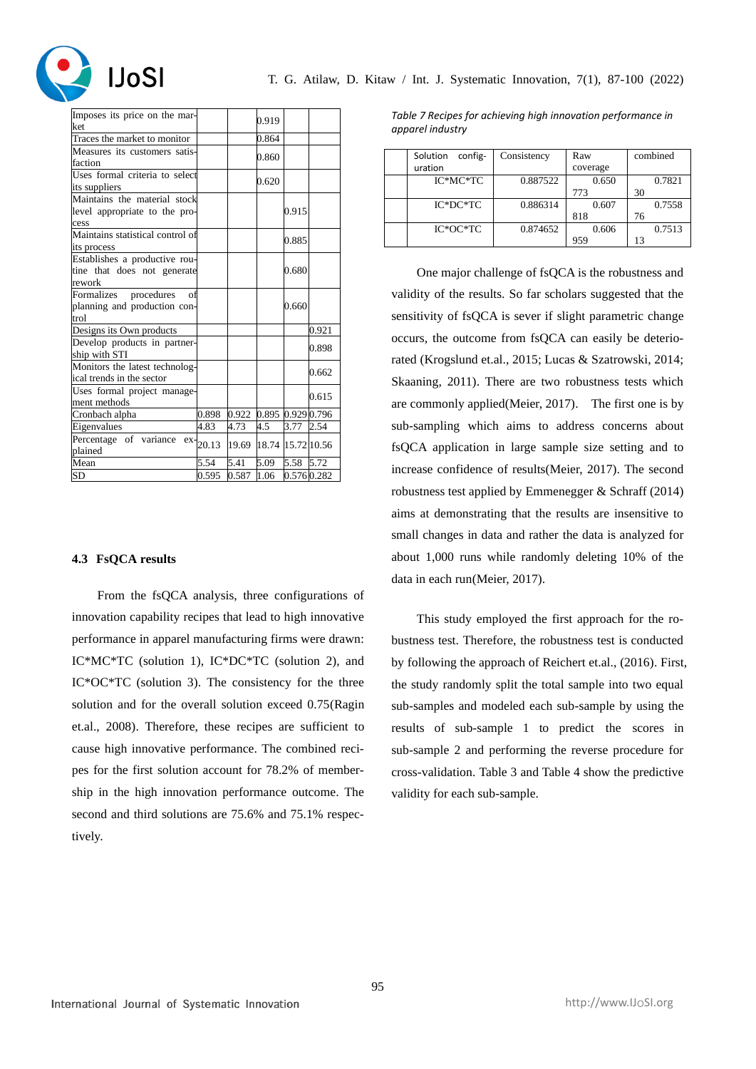

| Imposes its price on the mar-    |                    |       | 0.919             |            |       |
|----------------------------------|--------------------|-------|-------------------|------------|-------|
| ket                              |                    |       |                   |            |       |
| Traces the market to monitor     |                    |       | 0.864             |            |       |
| Measures its customers satis-    |                    |       | 0.860             |            |       |
| faction                          |                    |       |                   |            |       |
| Uses formal criteria to select   |                    |       | 0.620             |            |       |
| its suppliers                    |                    |       |                   |            |       |
| Maintains the material stock     |                    |       |                   |            |       |
| level appropriate to the pro-    |                    |       |                   | 0.915      |       |
| cess                             |                    |       |                   |            |       |
| Maintains statistical control of |                    |       |                   | 0.885      |       |
| its process                      |                    |       |                   |            |       |
| Establishes a productive rou-    |                    |       |                   |            |       |
| tine that does not generate      |                    |       |                   | 0.680      |       |
| rework                           |                    |       |                   |            |       |
| Formalizes procedures<br>of      |                    |       |                   |            |       |
| planning and production con-     |                    |       |                   | 0.660      |       |
| trol                             |                    |       |                   |            |       |
| Designs its Own products         |                    |       |                   |            | 0.921 |
| Develop products in partner-     |                    |       |                   |            | 0.898 |
| ship with STI                    |                    |       |                   |            |       |
| Monitors the latest technolog-   |                    |       |                   |            | 0.662 |
| ical trends in the sector        |                    |       |                   |            |       |
| Uses formal project manage-      |                    |       |                   |            | 0.615 |
| ment methods                     |                    |       |                   |            |       |
| Cronbach alpha                   | 0.898              | 0.922 | 0.895 0.929 0.796 |            |       |
| Eigenvalues                      | 4.83               | 4.73  | 4.5               | 3.77       | 2.54  |
| Percentage of variance           | $ex_{20.13}$       | 19.69 | 18.74 15.72 10.56 |            |       |
| plained                          |                    |       |                   |            |       |
| Mean                             | 5.54               | 5.41  | 5.09              | 5.58       | 5.72  |
| <b>SD</b>                        | $\overline{0.595}$ | 0.587 | 1.06              | 0.5760.282 |       |

#### **4.3 FsQCA results**

From the fsQCA analysis, three configurations of innovation capability recipes that lead to high innovative performance in apparel manufacturing firms were drawn: IC\*MC\*TC (solution 1), IC\*DC\*TC (solution 2), and IC\*OC\*TC (solution 3). The consistency for the three solution and for the overall solution exceed 0.75(Ragin et.al., 2008). Therefore, these recipes are sufficient to cause high innovative performance. The combined recipes for the first solution account for 78.2% of membership in the high innovation performance outcome. The second and third solutions are 75.6% and 75.1% respectively.

*Table 7 Recipes for achieving high innovation performance in apparel industry*

| config-<br>Solution | Consistency | Raw      | combined |  |
|---------------------|-------------|----------|----------|--|
| uration             |             | coverage |          |  |
| $IC*MC*TC$          | 0.887522    | 0.650    | 0.7821   |  |
|                     |             | 773      | 30       |  |
| $IC*DC*TC$          | 0.886314    | 0.607    | 0.7558   |  |
|                     |             | 818      | 76       |  |
| $IC*OC*TC$          | 0.874652    | 0.606    | 0.7513   |  |
|                     |             | 959      | 13       |  |

One major challenge of fsQCA is the robustness and validity of the results. So far scholars suggested that the sensitivity of fsQCA is sever if slight parametric change occurs, the outcome from fsQCA can easily be deteriorated (Krogslund et.al., 2015; Lucas & Szatrowski, 2014; Skaaning, 2011). There are two robustness tests which are commonly applied(Meier, 2017). The first one is by sub-sampling which aims to address concerns about fsQCA application in large sample size setting and to increase confidence of results(Meier, 2017). The second robustness test applied by Emmenegger & Schraff (2014) aims at demonstrating that the results are insensitive to small changes in data and rather the data is analyzed for about 1,000 runs while randomly deleting 10% of the data in each run(Meier, 2017).

This study employed the first approach for the robustness test. Therefore, the robustness test is conducted by following the approach of Reichert et.al., (2016). First, the study randomly split the total sample into two equal sub-samples and modeled each sub-sample by using the results of sub-sample 1 to predict the scores in sub-sample 2 and performing the reverse procedure for cross-validation. Table 3 and Table 4 show the predictive validity for each sub-sample.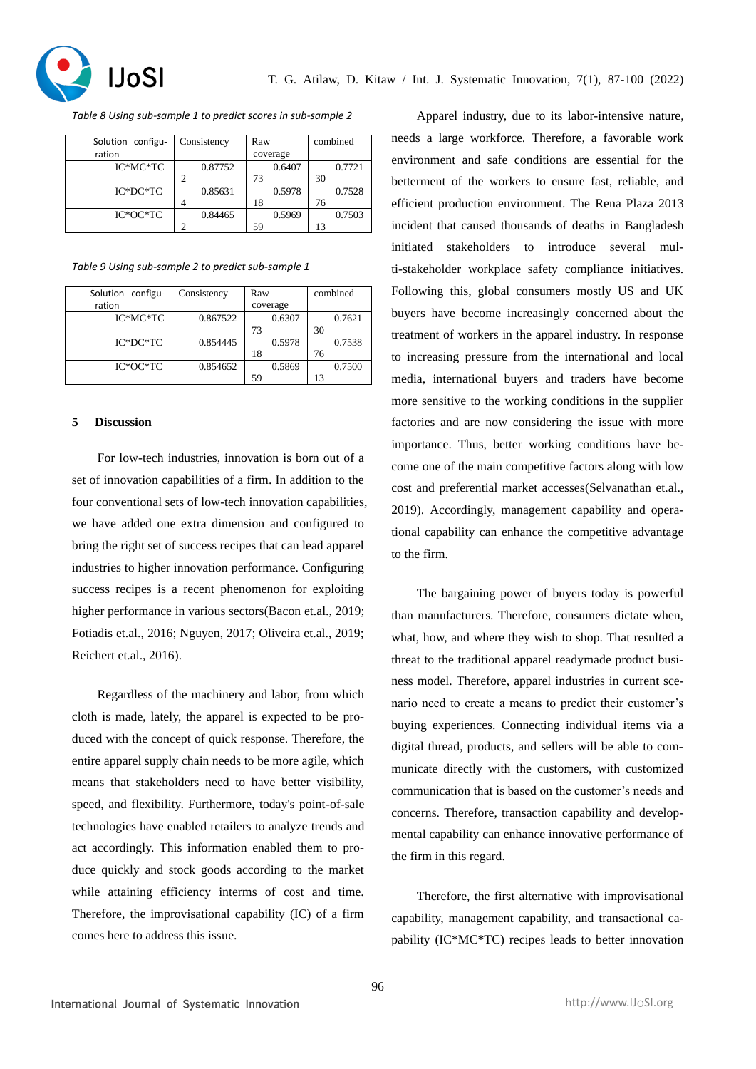

*Table 8 Using sub-sample 1 to predict scores in sub-sample 2*

| Solution configu- | Consistency | Raw      |        | combined |        |
|-------------------|-------------|----------|--------|----------|--------|
| ration            |             | coverage |        |          |        |
| $IC*MC*TC$        | 0.87752     |          | 0.6407 |          | 0.7721 |
|                   |             | 73       |        | 30       |        |
| $IC*DC*TC$        | 0.85631     |          | 0.5978 |          | 0.7528 |
|                   |             | 18       |        | 76       |        |
| $IC*OC*TC$        | 0.84465     |          | 0.5969 |          | 0.7503 |
|                   |             | 59       |        |          |        |

*Table 9 Using sub-sample 2 to predict sub-sample 1*

| Solution configu- | Consistency | Raw      | combined |  |
|-------------------|-------------|----------|----------|--|
| ration            |             | coverage |          |  |
| $IC*MC*TC$        | 0.867522    | 0.6307   | 0.7621   |  |
|                   |             | 73       | 30       |  |
| $IC*DC*TC$        | 0.854445    | 0.5978   | 0.7538   |  |
|                   |             | 18       | 76       |  |
| $IC*OC*TC$        | 0.854652    | 0.5869   | 0.7500   |  |
|                   |             | 59       | 13       |  |

#### **5 Discussion**

For low-tech industries, innovation is born out of a set of innovation capabilities of a firm. In addition to the four conventional sets of low-tech innovation capabilities, we have added one extra dimension and configured to bring the right set of success recipes that can lead apparel industries to higher innovation performance. Configuring success recipes is a recent phenomenon for exploiting higher performance in various sectors(Bacon et.al., 2019; Fotiadis et.al., 2016; Nguyen, 2017; Oliveira et.al., 2019; Reichert et.al., 2016).

Regardless of the machinery and labor, from which cloth is made, lately, the apparel is expected to be produced with the concept of quick response. Therefore, the entire apparel supply chain needs to be more agile, which means that stakeholders need to have better visibility, speed, and flexibility. Furthermore, today's point-of-sale technologies have enabled retailers to analyze trends and act accordingly. This information enabled them to produce quickly and stock goods according to the market while attaining efficiency interms of cost and time. Therefore, the improvisational capability (IC) of a firm comes here to address this issue.

Apparel industry, due to its labor-intensive nature, needs a large workforce. Therefore, a favorable work environment and safe conditions are essential for the betterment of the workers to ensure fast, reliable, and efficient production environment. The Rena Plaza 2013 incident that caused thousands of deaths in Bangladesh initiated stakeholders to introduce several multi-stakeholder workplace safety compliance initiatives. Following this, global consumers mostly US and UK buyers have become increasingly concerned about the treatment of workers in the apparel industry. In response to increasing pressure from the international and local media, international buyers and traders have become more sensitive to the working conditions in the supplier factories and are now considering the issue with more importance. Thus, better working conditions have become one of the main competitive factors along with low cost and preferential market accesses(Selvanathan et.al., 2019). Accordingly, management capability and operational capability can enhance the competitive advantage to the firm.

The bargaining power of buyers today is powerful than manufacturers. Therefore, consumers dictate when, what, how, and where they wish to shop. That resulted a threat to the traditional apparel readymade product business model. Therefore, apparel industries in current scenario need to create a means to predict their customer's buying experiences. Connecting individual items via a digital thread, products, and sellers will be able to communicate directly with the customers, with customized communication that is based on the customer's needs and concerns. Therefore, transaction capability and developmental capability can enhance innovative performance of the firm in this regard.

Therefore, the first alternative with improvisational capability, management capability, and transactional capability (IC\*MC\*TC) recipes leads to better innovation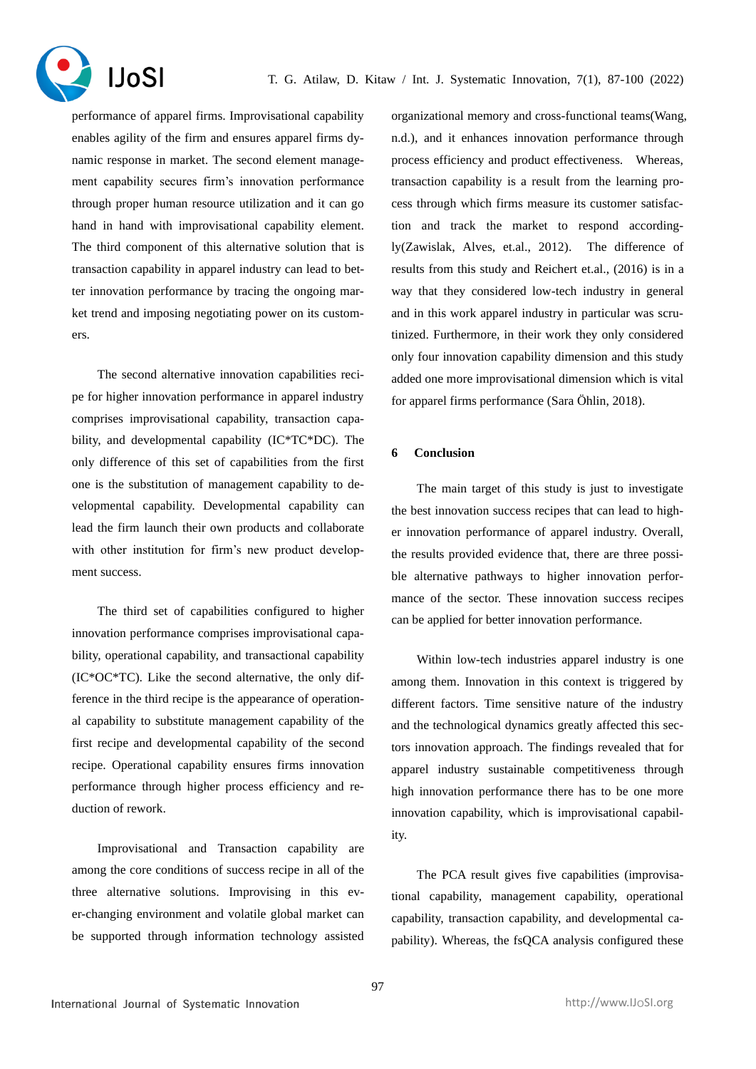

performance of apparel firms. Improvisational capability enables agility of the firm and ensures apparel firms dynamic response in market. The second element management capability secures firm's innovation performance through proper human resource utilization and it can go hand in hand with improvisational capability element. The third component of this alternative solution that is transaction capability in apparel industry can lead to better innovation performance by tracing the ongoing market trend and imposing negotiating power on its customers.

The second alternative innovation capabilities recipe for higher innovation performance in apparel industry comprises improvisational capability, transaction capability, and developmental capability (IC\*TC\*DC). The only difference of this set of capabilities from the first one is the substitution of management capability to developmental capability. Developmental capability can lead the firm launch their own products and collaborate with other institution for firm's new product development success.

The third set of capabilities configured to higher innovation performance comprises improvisational capability, operational capability, and transactional capability (IC\*OC\*TC). Like the second alternative, the only difference in the third recipe is the appearance of operational capability to substitute management capability of the first recipe and developmental capability of the second recipe. Operational capability ensures firms innovation performance through higher process efficiency and reduction of rework.

Improvisational and Transaction capability are among the core conditions of success recipe in all of the three alternative solutions. Improvising in this ever-changing environment and volatile global market can be supported through information technology assisted organizational memory and cross-functional teams(Wang, n.d.), and it enhances innovation performance through process efficiency and product effectiveness. Whereas, transaction capability is a result from the learning process through which firms measure its customer satisfaction and track the market to respond accordingly(Zawislak, Alves, et.al., 2012). The difference of results from this study and Reichert et.al., (2016) is in a way that they considered low-tech industry in general and in this work apparel industry in particular was scrutinized. Furthermore, in their work they only considered only four innovation capability dimension and this study added one more improvisational dimension which is vital for apparel firms performance (Sara Öhlin, 2018).

## **6 Conclusion**

The main target of this study is just to investigate the best innovation success recipes that can lead to higher innovation performance of apparel industry. Overall, the results provided evidence that, there are three possible alternative pathways to higher innovation performance of the sector. These innovation success recipes can be applied for better innovation performance.

Within low-tech industries apparel industry is one among them. Innovation in this context is triggered by different factors. Time sensitive nature of the industry and the technological dynamics greatly affected this sectors innovation approach. The findings revealed that for apparel industry sustainable competitiveness through high innovation performance there has to be one more innovation capability, which is improvisational capability.

The PCA result gives five capabilities (improvisational capability, management capability, operational capability, transaction capability, and developmental capability). Whereas, the fsQCA analysis configured these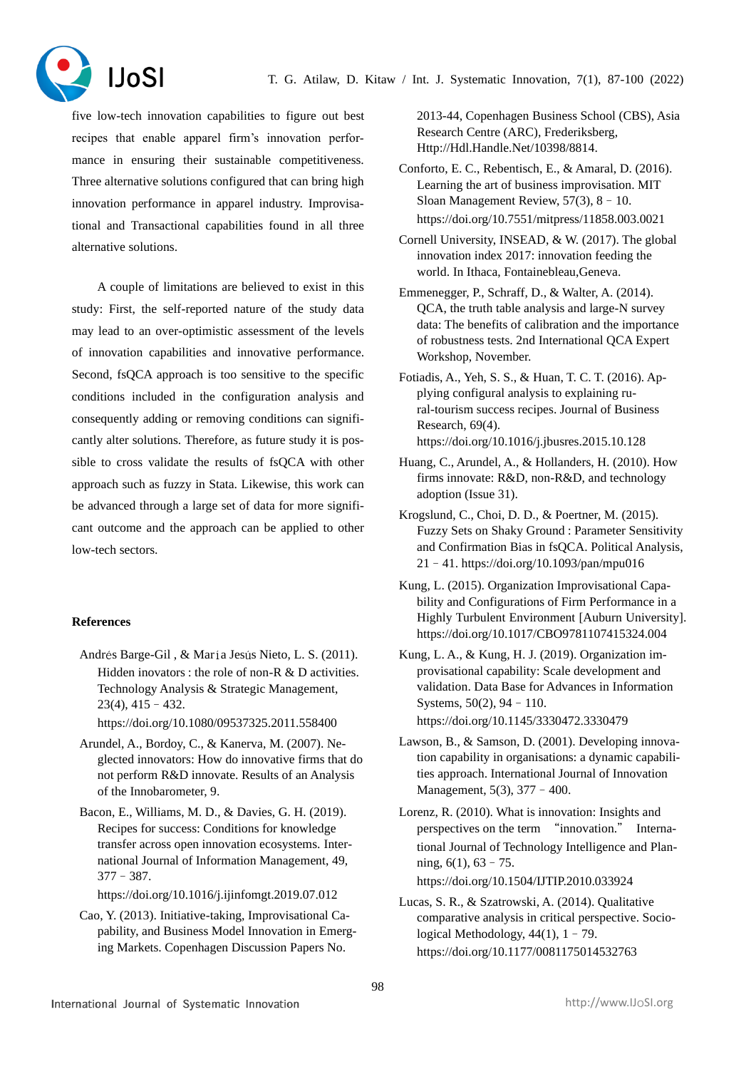

five low-tech innovation capabilities to figure out best recipes that enable apparel firm's innovation performance in ensuring their sustainable competitiveness. Three alternative solutions configured that can bring high innovation performance in apparel industry. Improvisational and Transactional capabilities found in all three alternative solutions.

A couple of limitations are believed to exist in this study: First, the self-reported nature of the study data may lead to an over-optimistic assessment of the levels of innovation capabilities and innovative performance. Second, fsQCA approach is too sensitive to the specific conditions included in the configuration analysis and consequently adding or removing conditions can significantly alter solutions. Therefore, as future study it is possible to cross validate the results of fsQCA with other approach such as fuzzy in Stata. Likewise, this work can be advanced through a large set of data for more significant outcome and the approach can be applied to other low-tech sectors.

# **References**

Andrés Barge-Gil , & María Jesús Nieto, L. S. (2011). Hidden inovators : the role of non-R & D activities. Technology Analysis & Strategic Management, 23(4), 415–432.

https://doi.org/10.1080/09537325.2011.558400

- Arundel, A., Bordoy, C., & Kanerva, M. (2007). Neglected innovators: How do innovative firms that do not perform R&D innovate. Results of an Analysis of the Innobarometer, 9.
- Bacon, E., Williams, M. D., & Davies, G. H. (2019). Recipes for success: Conditions for knowledge transfer across open innovation ecosystems. International Journal of Information Management, 49, 377–387.

https://doi.org/10.1016/j.ijinfomgt.2019.07.012

Cao, Y. (2013). Initiative-taking, Improvisational Capability, and Business Model Innovation in Emerging Markets. Copenhagen Discussion Papers No.

2013-44, Copenhagen Business School (CBS), Asia Research Centre (ARC), Frederiksberg, Http://Hdl.Handle.Net/10398/8814.

- Conforto, E. C., Rebentisch, E., & Amaral, D. (2016). Learning the art of business improvisation. MIT Sloan Management Review, 57(3), 8–10. https://doi.org/10.7551/mitpress/11858.003.0021
- Cornell University, INSEAD, & W. (2017). The global innovation index 2017: innovation feeding the world. In Ithaca, Fontainebleau,Geneva.
- Emmenegger, P., Schraff, D., & Walter, A. (2014). QCA, the truth table analysis and large-N survey data: The benefits of calibration and the importance of robustness tests. 2nd International QCA Expert Workshop, November.
- Fotiadis, A., Yeh, S. S., & Huan, T. C. T. (2016). Applying configural analysis to explaining rural-tourism success recipes. Journal of Business Research, 69(4). https://doi.org/10.1016/j.jbusres.2015.10.128
- Huang, C., Arundel, A., & Hollanders, H. (2010). How firms innovate: R&D, non-R&D, and technology adoption (Issue 31).
- Krogslund, C., Choi, D. D., & Poertner, M. (2015). Fuzzy Sets on Shaky Ground : Parameter Sensitivity and Confirmation Bias in fsQCA. Political Analysis, 21–41. https://doi.org/10.1093/pan/mpu016
- Kung, L. (2015). Organization Improvisational Capability and Configurations of Firm Performance in a Highly Turbulent Environment [Auburn University]. https://doi.org/10.1017/CBO9781107415324.004
- Kung, L. A., & Kung, H. J. (2019). Organization improvisational capability: Scale development and validation. Data Base for Advances in Information Systems, 50(2), 94–110. https://doi.org/10.1145/3330472.3330479
- Lawson, B., & Samson, D. (2001). Developing innovation capability in organisations: a dynamic capabilities approach. International Journal of Innovation

Management, 5(3), 377–400.

- Lorenz, R. (2010). What is innovation: Insights and perspectives on the term "innovation." International Journal of Technology Intelligence and Planning, 6(1), 63–75. https://doi.org/10.1504/IJTIP.2010.033924
- Lucas, S. R., & Szatrowski, A. (2014). Qualitative comparative analysis in critical perspective. Sociological Methodology, 44(1), 1–79. https://doi.org/10.1177/0081175014532763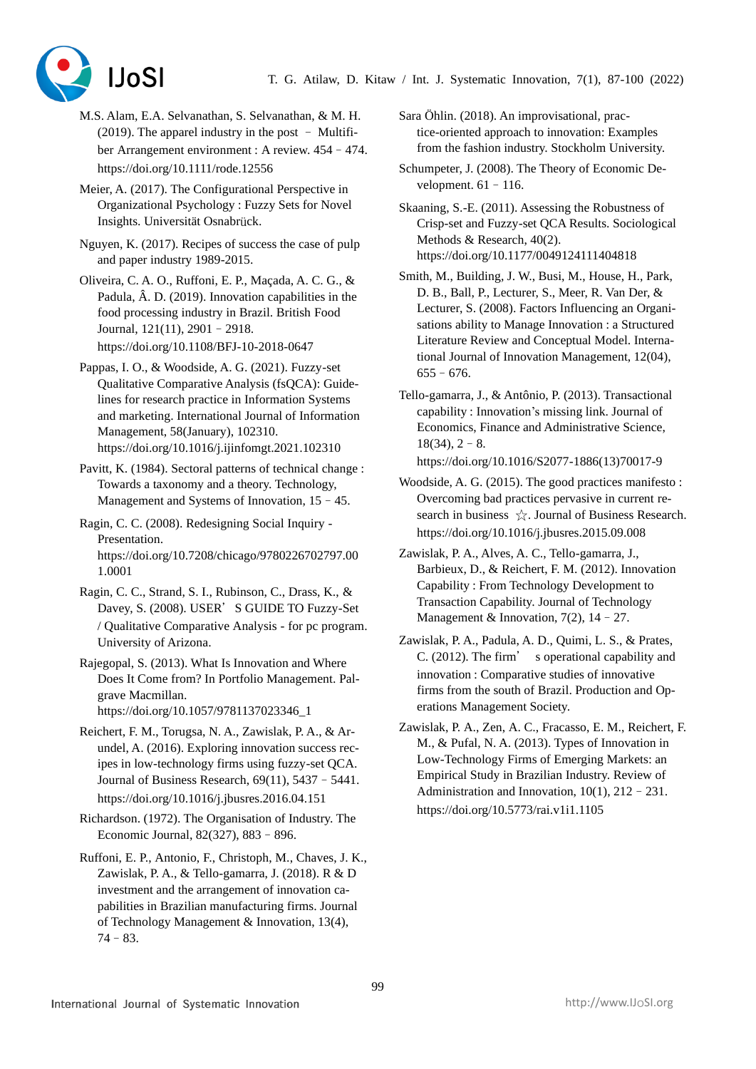

- M.S. Alam, E.A. Selvanathan, S. Selvanathan, & M. H.  $(2019)$ . The apparel industry in the post – Multifiber Arrangement environment : A review. 454–474. https://doi.org/10.1111/rode.12556
- Meier, A. (2017). The Configurational Perspective in Organizational Psychology : Fuzzy Sets for Novel Insights. Universität Osnabrück.
- Nguyen, K. (2017). Recipes of success the case of pulp and paper industry 1989-2015.
- Oliveira, C. A. O., Ruffoni, E. P., Maçada, A. C. G., & Padula, Â. D. (2019). Innovation capabilities in the food processing industry in Brazil. British Food Journal, 121(11), 2901–2918. https://doi.org/10.1108/BFJ-10-2018-0647
- Pappas, I. O., & Woodside, A. G. (2021). Fuzzy-set Qualitative Comparative Analysis (fsQCA): Guidelines for research practice in Information Systems and marketing. International Journal of Information Management, 58(January), 102310. https://doi.org/10.1016/j.ijinfomgt.2021.102310

Pavitt, K. (1984). Sectoral patterns of technical change : Towards a taxonomy and a theory. Technology, Management and Systems of Innovation,  $15 - 45$ .

- Ragin, C. C. (2008). Redesigning Social Inquiry Presentation. https://doi.org/10.7208/chicago/9780226702797.00 1.0001
- Ragin, C. C., Strand, S. I., Rubinson, C., Drass, K., & Davey, S. (2008). USER'S GUIDE TO Fuzzy-Set / Qualitative Comparative Analysis - for pc program. University of Arizona.
- Rajegopal, S. (2013). What Is Innovation and Where Does It Come from? In Portfolio Management. Palgrave Macmillan. https://doi.org/10.1057/9781137023346\_1
- Reichert, F. M., Torugsa, N. A., Zawislak, P. A., & Arundel, A. (2016). Exploring innovation success recipes in low-technology firms using fuzzy-set QCA. Journal of Business Research, 69(11), 5437–5441. https://doi.org/10.1016/j.jbusres.2016.04.151
- Richardson. (1972). The Organisation of Industry. The Economic Journal, 82(327), 883–896.
- Ruffoni, E. P., Antonio, F., Christoph, M., Chaves, J. K., Zawislak, P. A., & Tello-gamarra, J. (2018). R & D investment and the arrangement of innovation capabilities in Brazilian manufacturing firms. Journal of Technology Management & Innovation, 13(4), 74–83.

Sara Öhlin. (2018). An improvisational, practice-oriented approach to innovation: Examples from the fashion industry. Stockholm University.

Schumpeter, J. (2008). The Theory of Economic Development.  $61 - 116$ .

Skaaning, S.-E. (2011). Assessing the Robustness of Crisp-set and Fuzzy-set QCA Results. Sociological Methods & Research, 40(2). https://doi.org/10.1177/0049124111404818

Smith, M., Building, J. W., Busi, M., House, H., Park, D. B., Ball, P., Lecturer, S., Meer, R. Van Der, & Lecturer, S. (2008). Factors Influencing an Organisations ability to Manage Innovation : a Structured Literature Review and Conceptual Model. International Journal of Innovation Management, 12(04), 655–676.

Tello-gamarra, J., & Antônio, P. (2013). Transactional capability : Innovation's missing link. Journal of Economics, Finance and Administrative Science,  $18(34)$ ,  $2-8$ . https://doi.org/10.1016/S2077-1886(13)70017-9

Woodside, A. G. (2015). The good practices manifesto : Overcoming bad practices pervasive in current research in business  $\hat{\chi}$ . Journal of Business Research. https://doi.org/10.1016/j.jbusres.2015.09.008

Zawislak, P. A., Alves, A. C., Tello-gamarra, J., Barbieux, D., & Reichert, F. M. (2012). Innovation Capability : From Technology Development to Transaction Capability. Journal of Technology Management & Innovation,  $7(2)$ ,  $14 - 27$ .

- Zawislak, P. A., Padula, A. D., Quimi, L. S., & Prates, C. (2012). The firm' s operational capability and innovation : Comparative studies of innovative firms from the south of Brazil. Production and Operations Management Society.
- Zawislak, P. A., Zen, A. C., Fracasso, E. M., Reichert, F. M., & Pufal, N. A. (2013). Types of Innovation in Low-Technology Firms of Emerging Markets: an Empirical Study in Brazilian Industry. Review of Administration and Innovation, 10(1), 212–231. https://doi.org/10.5773/rai.v1i1.1105